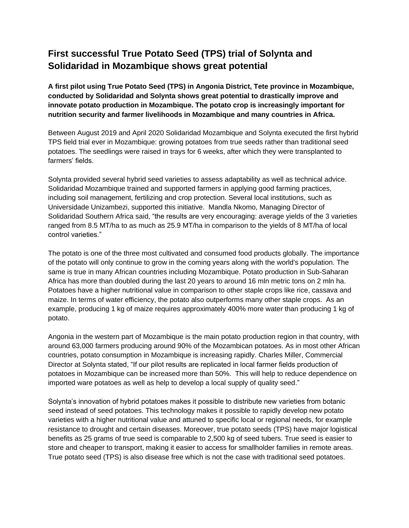## **First successful True Potato Seed (TPS) trial of Solynta and Solidaridad in Mozambique shows great potential**

**A first pilot using True Potato Seed (TPS) in Angonia District, Tete province in Mozambique, conducted by Solidaridad and Solynta shows great potential to drastically improve and innovate potato production in Mozambique. The potato crop is increasingly important for nutrition security and farmer livelihoods in Mozambique and many countries in Africa.** 

Between August 2019 and April 2020 Solidaridad Mozambique and Solynta executed the first hybrid TPS field trial ever in Mozambique: growing potatoes from true seeds rather than traditional seed potatoes. The seedlings were raised in trays for 6 weeks, after which they were transplanted to farmers' fields.

Solynta provided several hybrid seed varieties to assess adaptability as well as technical advice. Solidaridad Mozambique trained and supported farmers in applying good farming practices, including soil management, fertilizing and crop protection. Several local institutions, such as Universidade Unizambezi, supported this initiative. Mandla Nkomo, Managing Director of Solidaridad Southern Africa said, "the results are very encouraging: average yields of the 3 varieties ranged from 8.5 MT/ha to as much as 25.9 MT/ha in comparison to the yields of 8 MT/ha of local control varieties."

The potato is one of the three most cultivated and consumed food products globally. The importance of the potato will only continue to grow in the coming years along with the world's population. The same is true in many African countries including Mozambique. Potato production in Sub-Saharan Africa has more than doubled during the last 20 years to around 16 mln metric tons on 2 mln ha. Potatoes have a higher nutritional value in comparison to other staple crops like rice, cassava and maize. In terms of water efficiency, the potato also outperforms many other staple crops. As an example, producing 1 kg of maize requires approximately 400% more water than producing 1 kg of potato.

Angonia in the western part of Mozambique is the main potato production region in that country, with around 63,000 farmers producing around 90% of the Mozambican potatoes. As in most other African countries, potato consumption in Mozambique is increasing rapidly. Charles Miller, Commercial Director at Solynta stated, "If our pilot results are replicated in local farmer fields production of potatoes in Mozambique can be increased more than 50%. This will help to reduce dependence on imported ware potatoes as well as help to develop a local supply of quality seed."

Solynta's innovation of hybrid potatoes makes it possible to distribute new varieties from botanic seed instead of seed potatoes. This technology makes it possible to rapidly develop new potato varieties with a higher nutritional value and attuned to specific local or regional needs, for example resistance to drought and certain diseases. Moreover, true potato seeds (TPS) have major logistical benefits as 25 grams of true seed is comparable to 2,500 kg of seed tubers. True seed is easier to store and cheaper to transport, making it easier to access for smallholder families in remote areas. True potato seed (TPS) is also disease free which is not the case with traditional seed potatoes.